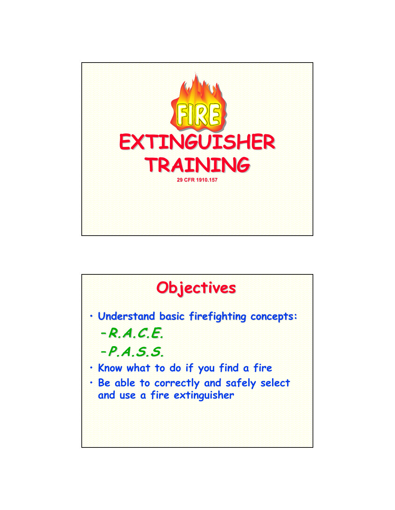

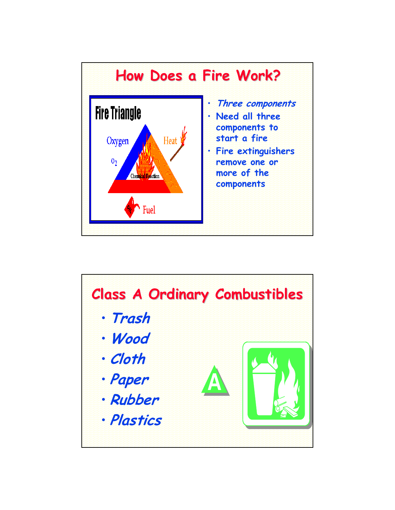

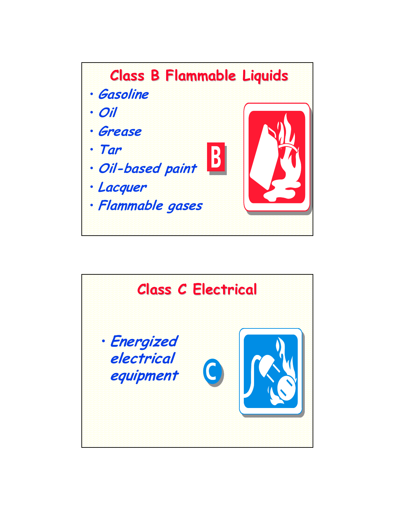

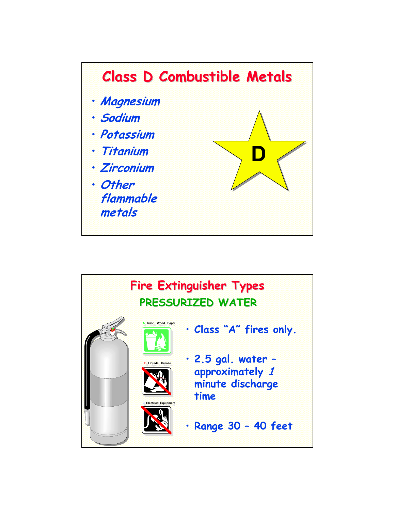

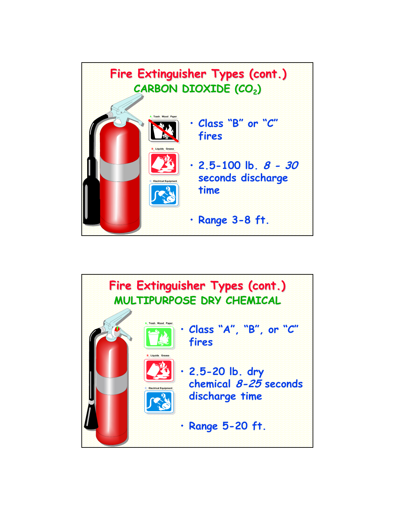

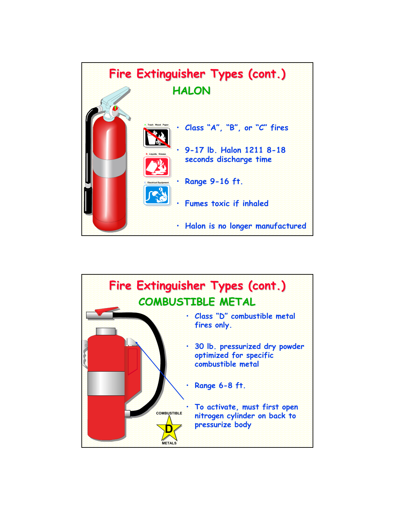

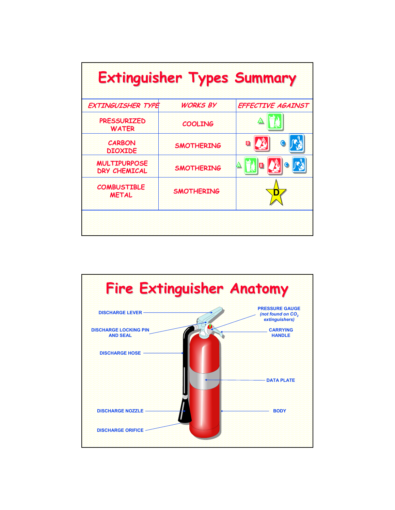| <b>Extinguisher Types Summary</b>          |                   |                                               |
|--------------------------------------------|-------------------|-----------------------------------------------|
| EXTINGUISHER TYPE                          | <b>WORKS BY</b>   | EFFECTIVE AGAINST                             |
| <b>PRESSURIZED</b><br><b>WATER</b>         | <b>COOLING</b>    |                                               |
| <b>CARBON</b><br><b>DIOXIDE</b>            | <b>SMOTHERING</b> | B                                             |
| <b>MULTIPURPOSE</b><br><b>DRY CHEMICAL</b> | <b>SMOTHERING</b> | $\mathcal{L}^{\mathcal{U}}$<br>B<br>$\bullet$ |
| <b>COMBUSTIBLE</b><br><b>METAL</b>         | <b>SMOTHERING</b> |                                               |
|                                            |                   |                                               |

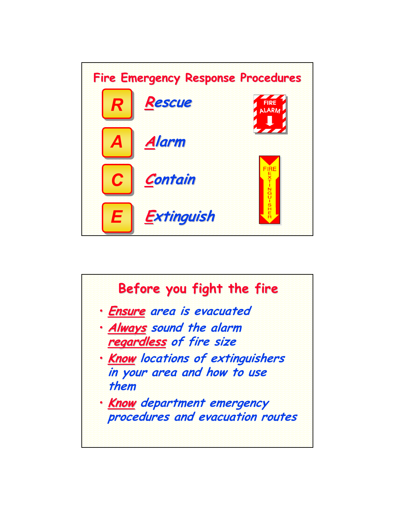

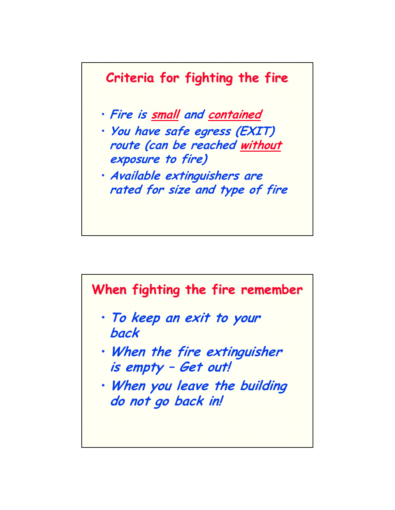

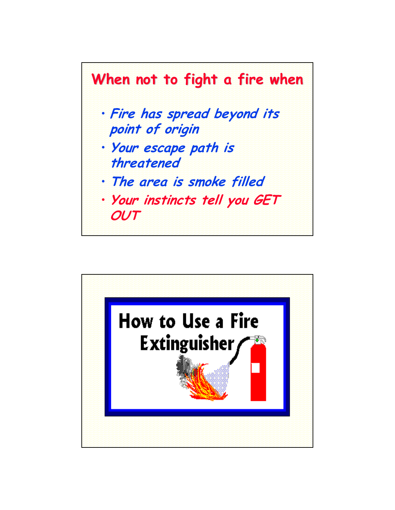

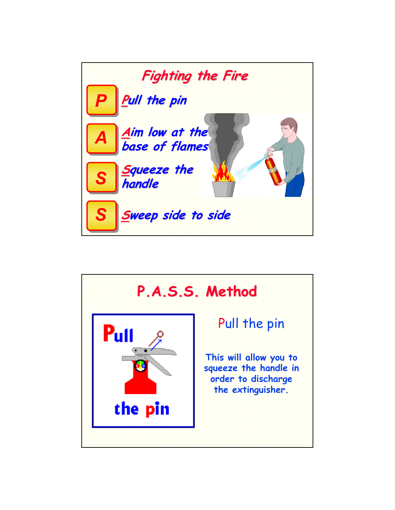

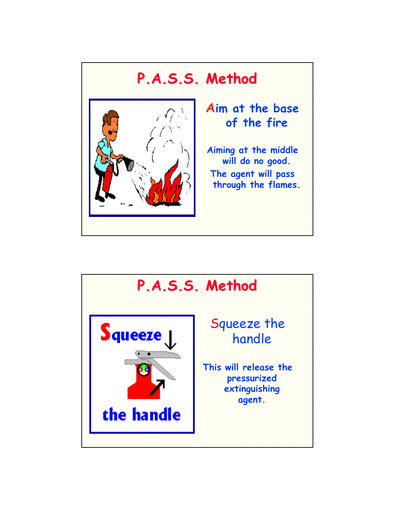